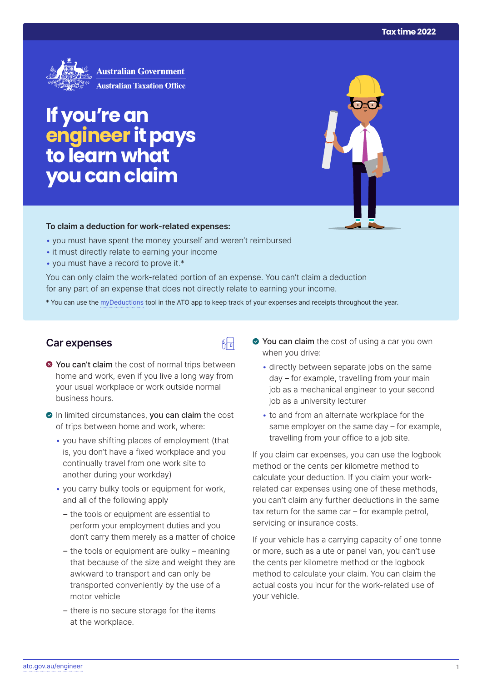

# **If you're an engineer it pays to learn what you can claim**

#### **To claim a deduction for work‑related expenses:**

- you must have spent the money yourself and weren't reimbursed
- it must directly relate to earning your income
- you must have a record to prove it.\*

You can only claim the work-related portion of an expense. You can't claim a deduction for any part of an expense that does not directly relate to earning your income.

\* You can use the [myDeductions](https://ato.gov.au/mydeductions) tool in the ATO app to keep track of your expenses and receipts throughout the year.

品

## **Car expenses**

- $\bullet$  **You can't claim** the cost of normal trips between home and work, even if you live a long way from your usual workplace or work outside normal business hours.
- In limited circumstances, you can claim the cost of trips between home and work, where:
	- you have shifting places of employment (that is, you don't have a fixed workplace and you continually travel from one work site to another during your workday)
	- you carry bulky tools or equipment for work, and all of the following apply
		- the tools or equipment are essential to perform your employment duties and you don't carry them merely as a matter of choice
		- the tools or equipment are bulky meaning that because of the size and weight they are awkward to transport and can only be transported conveniently by the use of a motor vehicle
		- there is no secure storage for the items at the workplace.
- ◆ You can claim the cost of using a car you own when you drive:
	- directly between separate jobs on the same day – for example, travelling from your main job as a mechanical engineer to your second job as a university lecturer
	- to and from an alternate workplace for the same employer on the same day – for example, travelling from your office to a job site.

If you claim car expenses, you can use the logbook method or the cents per kilometre method to calculate your deduction. If you claim your workrelated car expenses using one of these methods, you can't claim any further deductions in the same tax return for the same car – for example petrol, servicing or insurance costs.

If your vehicle has a carrying capacity of one tonne or more, such as a ute or panel van, you can't use the cents per kilometre method or the logbook method to calculate your claim. You can claim the actual costs you incur for the work-related use of your vehicle.